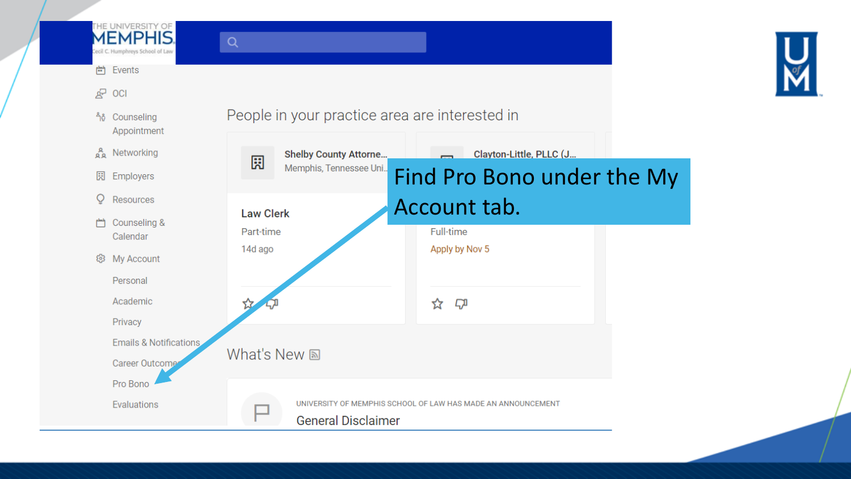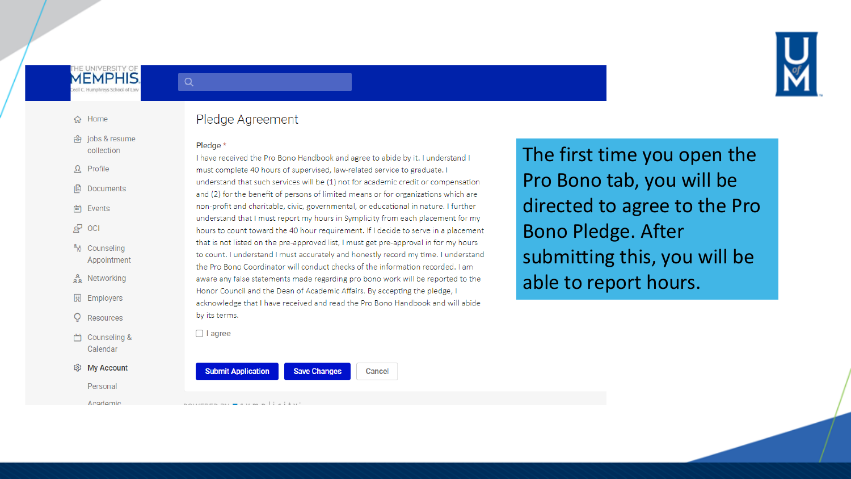

#### 슈 Home

舟 jobs & resume collection

 $\Omega$  Profile

**B** Documents

- 尚 Events
- $2^7$  OCI
- <sup>4</sup>ง Counseling Appointment
- Networking
- 园 Employers
- $\circ$ Resources
- □ Counseling & Calendar

#### @ My Account

Personal Academic

### Pledge Agreement

#### Pledge \*

 $Q$ 

I have received the Pro Bono Handbook and agree to abide by it. I understand I must complete 40 hours of supervised, law-related service to graduate. I understand that such services will be (1) not for academic credit or compensation and (2) for the benefit of persons of limited means or for organizations which are non-profit and charitable, civic, governmental, or educational in nature. I further understand that I must report my hours in Symplicity from each placement for my hours to count toward the 40 hour requirement. If I decide to serve in a placement that is not listed on the pre-approved list, I must get pre-approval in for my hours to count. I understand I must accurately and honestly record my time. I understand the Pro Bono Coordinator will conduct checks of the information recorded. I am aware any false statements made regarding pro bono work will be reported to the Honor Council and the Dean of Academic Affairs. By accepting the pledge, I acknowledge that I have received and read the Pro Bono Handbook and will abide by its terms.

**Save Changes** 

Cancel

 $\Box$  I agree

# The first time you open the Pro Bono tab, you will be directed to agree to the Pro **Bono Pledge. After** submitting this, you will be able to report hours.

powenen ny meum niei

**Submit Application**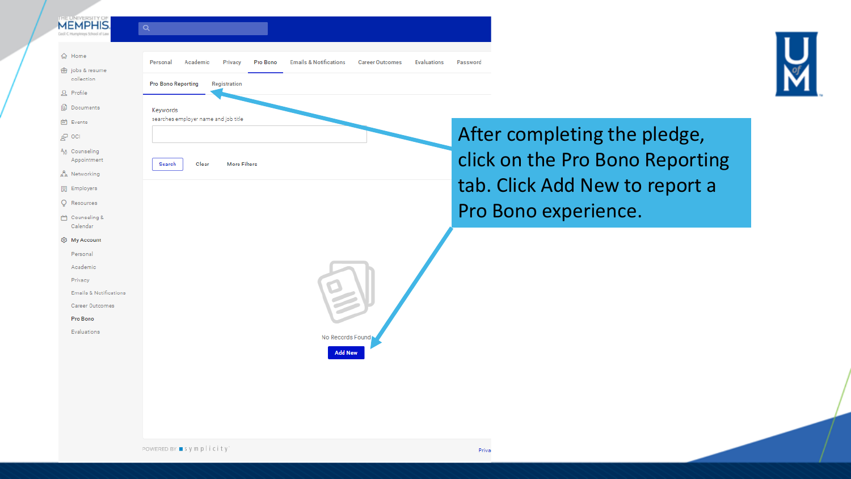#### **MEMPHIS**  $Q$ **命** Home **Emails & Notifications** Personal Academic Privacy Pro Bono **白** jobs & resume collection **Pro Bono Reporting** Registration  $\Omega$  Profile

searches employer name and job title

Clear

**More Filters** 

Keywords

Search



After completing the pledge, click on the Pro Bono Reporting tab. Click Add New to report a Pro Bono experience.

Calendar @ My Account

□ Counseling &

**Documents** 

Appointment

A Networking

图 Employers Q Resources

iii Events

 $R^3$  oci 38 Counseling

> Personal Academic

Privacy

**Emails & Notifications** 

Career Outcomes

Pro Bono

Evaluations

No Records Found **Add New** 

POWERED BY ■ symplicity

Evaluations

Password

**Career Outcomes**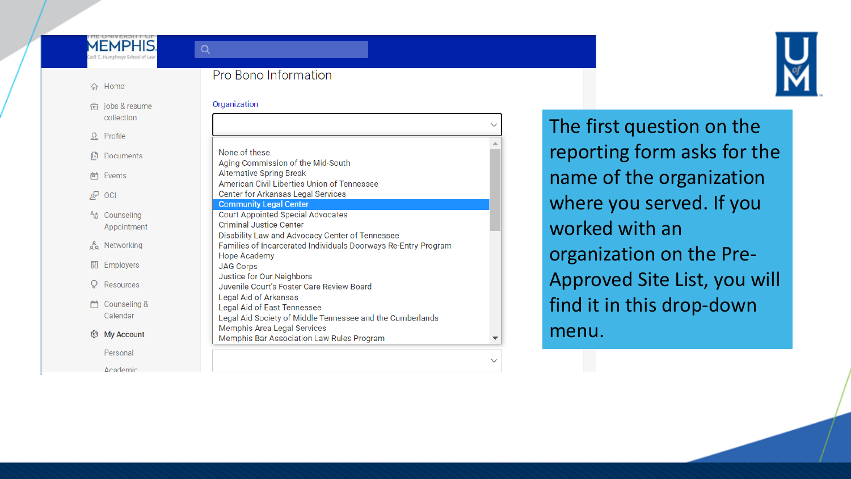### **MEMPHIS.** cil C. Humphreys School of La

 $Q$ 

### 命 Home

| 奇 jobs & resume |
|-----------------|
| collection      |

 $\Omega$  Profile

I<sup>a</sup> Documents

H Events

 $2^7$  OCI

### <sup>ค</sup>ิง Counseling Appointment

A Networking

园 Employers  $Q$  Resources

□ Counseling & Calendar

@ My Account

Personal

Academic

### Pro Bono Information

| None of these                                                                         |  |
|---------------------------------------------------------------------------------------|--|
| Aging Commission of the Mid-South                                                     |  |
| <b>Alternative Spring Break</b>                                                       |  |
| American Civil Liberties Union of Tennessee                                           |  |
| Center for Arkansas Legal Services                                                    |  |
| <b>Community Legal Center</b>                                                         |  |
| <b>Court Appointed Special Advocates</b>                                              |  |
| <b>Criminal Justice Center</b>                                                        |  |
| Disability Law and Advocacy Center of Tennessee                                       |  |
| Families of Incarcerated Individuals Doorways Re-Entry Program<br><b>Hope Academy</b> |  |
| <b>JAG Corps</b>                                                                      |  |
| Justice for Our Neighbors                                                             |  |
| Juvenile Court's Foster Care Review Board                                             |  |
| Legal Aid of Arkansas                                                                 |  |
| Legal Aid of East Tennessee                                                           |  |
| Legal Aid Society of Middle Tennessee and the Cumberlands                             |  |
| <b>Memphis Area Legal Services</b>                                                    |  |
| Memphis Bar Association Law Rules Program                                             |  |



The first question on the reporting form asks for the name of the organization where you served. If you worked with an organization on the Pre-Approved Site List, you will find it in this drop-down menu.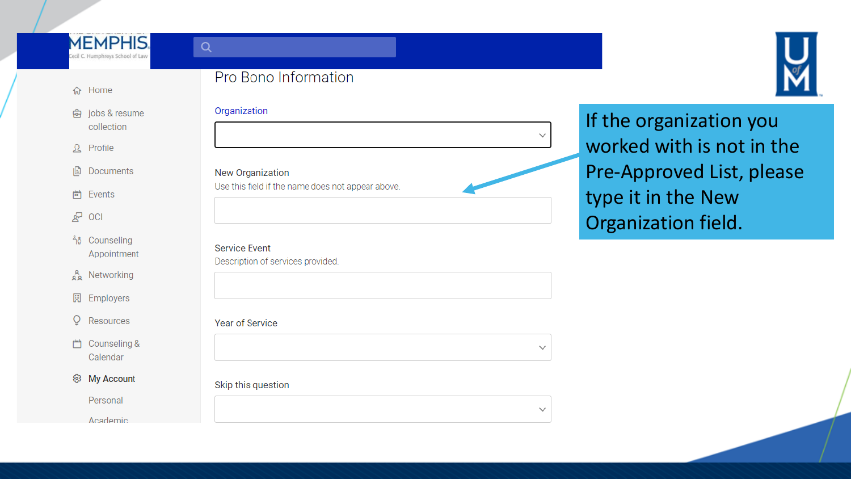### **MEMPHIS.** ecil C. Humphreys School of Law

### Pro Bono Information



### 命 Home

| <del>靣</del> jobs & resum |
|---------------------------|
| collection                |

 $\Omega$  Profile

旧 **Documents** 

尙 Events

 $2^{\circ}$  OCI

<sup>ค</sup>ิจิ Counseling Appointment

Networking

园 Employers

- O Resources
- □ Counseling & Calendar
- @ My Account

Personal

Academic

### Organization

### New Organization

 $Q$ 

Use this field if the name does not appear above.

**Service Event** 

Description of services provided.

### **Year of Service**

### Skip this question

 $\checkmark$ 

If the organization you worked with is not in the Pre-Approved List, please type it in the New Organization field.

 $\checkmark$ 

 $\checkmark$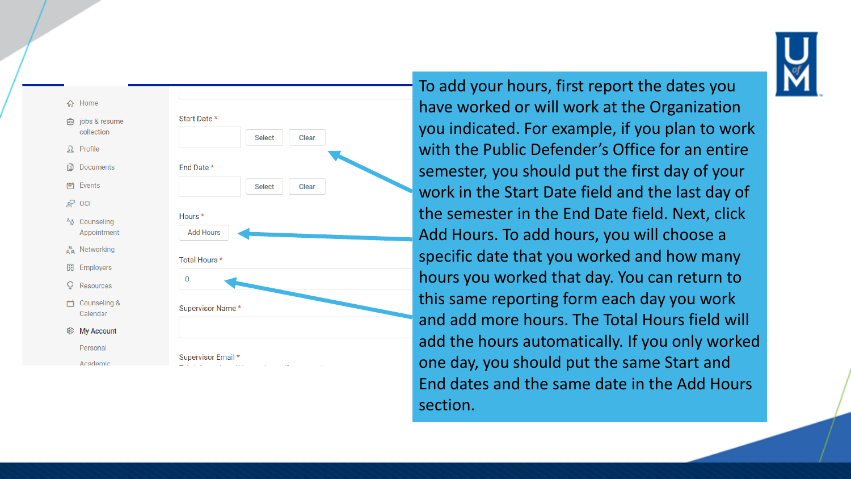



To add your hours, first report the dates you have worked or will work at the Organization you indicated. For example, if you plan to work with the Public Defender's Office for an entire semester, you should put the first day of your work in the Start Date field and the last day of the semester in the End Date field. Next, click Add Hours. To add hours, you will choose a specific date that you worked and how many hours you worked that day. You can return to this same reporting form each day you work and add more hours. The Total Hours field will add the hours automatically. If you only worked one day, you should put the same Start and End dates and the same date in the Add Hours section.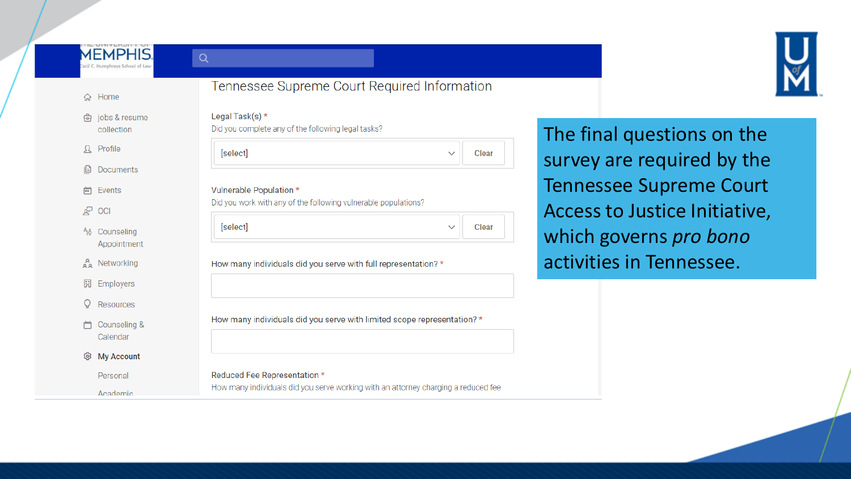### **MEMPHIS.** ecil C. Humphreys School of Law

 $Q$ 



### ∩ Home

向 jobs & resume collection

 $\Omega$  Profile

**B** Documents

- Events 曲
- $R^2$  OCI
- **า**๊อ Counseling Appointment
- ္တွန္ Networking
- 园 Employers
- $Q$  Resources
- 门 Counseling & Calendar
- ©ි My Account

Personal

Academic



# Legal Task(s) \* Did you complete any of the following legal tasks? [select] Clear  $\checkmark$ Vulnerable Population \* Did you work with any of the following vulnerable populations? [select] Clear  $\checkmark$ How many individuals did you serve with full representation? \* How many individuals did you serve with limited scope representation? \*

### Reduced Fee Representation \* How many individuals did you serve working with an attorney charging a reduced fee

The final questions on the survey are required by the Tennessee Supreme Court Access to Justice Initiative, which governs pro bono activities in Tennessee.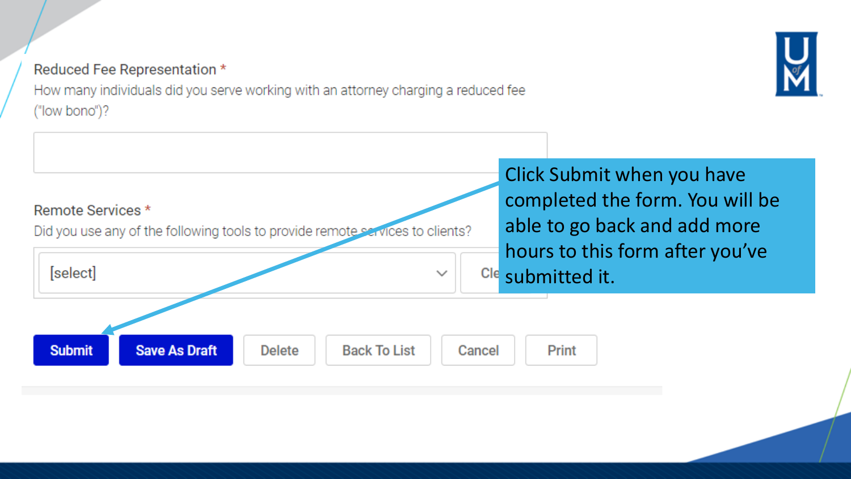## Reduced Fee Representation \*

How many individuals did you serve working with an attorney charging a reduced fee ("low bono")?

> Click Submit when you have completed the form. You will be able to go back and add more hours to this form after you've